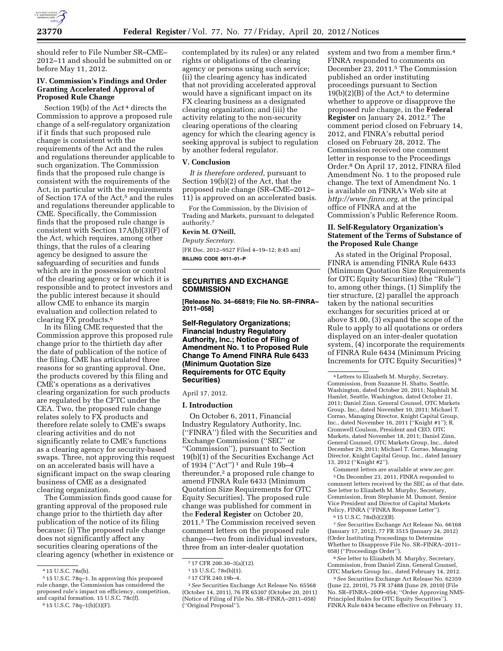

should refer to File Number SR–CME– 2012–11 and should be submitted on or before May 11, 2012.

## **IV. Commission's Findings and Order Granting Accelerated Approval of Proposed Rule Change**

Section 19(b) of the Act<sup>4</sup> directs the Commission to approve a proposed rule change of a self-regulatory organization if it finds that such proposed rule change is consistent with the requirements of the Act and the rules and regulations thereunder applicable to such organization. The Commission finds that the proposed rule change is consistent with the requirements of the Act, in particular with the requirements of Section 17A of the Act,<sup>5</sup> and the rules and regulations thereunder applicable to CME. Specifically, the Commission finds that the proposed rule change is consistent with Section  $17A(b)(3)$ <sup>[F]</sup> of the Act, which requires, among other things, that the rules of a clearing agency be designed to assure the safeguarding of securities and funds which are in the possession or control of the clearing agency or for which it is responsible and to protect investors and the public interest because it should allow CME to enhance its margin evaluation and collection related to clearing FX products.6

In its filing CME requested that the Commission approve this proposed rule change prior to the thirtieth day after the date of publication of the notice of the filing. CME has articulated three reasons for so granting approval. One, the products covered by this filing and CME's operations as a derivatives clearing organization for such products are regulated by the CFTC under the CEA. Two, the proposed rule change relates solely to FX products and therefore relate solely to CME's swaps clearing activities and do not significantly relate to CME's functions as a clearing agency for security-based swaps. Three, not approving this request on an accelerated basis will have a significant impact on the swap clearing business of CME as a designated clearing organization.

The Commission finds good cause for granting approval of the proposed rule change prior to the thirtieth day after publication of the notice of its filing because: (i) The proposed rule change does not significantly affect any securities clearing operations of the clearing agency (whether in existence or contemplated by its rules) or any related rights or obligations of the clearing agency or persons using such service; (ii) the clearing agency has indicated that not providing accelerated approval would have a significant impact on its FX clearing business as a designated clearing organization; and (iii) the activity relating to the non-security clearing operations of the clearing agency for which the clearing agency is seeking approval is subject to regulation by another federal regulator.

#### **V. Conclusion**

*It is therefore ordered,* pursuant to Section 19(b)(2) of the Act, that the proposed rule change (SR–CME–2012– 11) is approved on an accelerated basis.

For the Commission, by the Division of Trading and Markets, pursuant to delegated authority.7

# **Kevin M. O'Neill,**

*Deputy Secretary.*  [FR Doc. 2012–9527 Filed 4–19–12; 8:45 am] **BILLING CODE 8011–01–P** 

## **SECURITIES AND EXCHANGE COMMISSION**

**[Release No. 34–66819; File No. SR–FINRA– 2011–058]** 

## **Self-Regulatory Organizations; Financial Industry Regulatory Authority, Inc.; Notice of Filing of Amendment No. 1 to Proposed Rule Change To Amend FINRA Rule 6433 (Minimum Quotation Size Requirements for OTC Equity Securities)**

## April 17, 2012.

### **I. Introduction**

On October 6, 2011, Financial Industry Regulatory Authority, Inc. (''FINRA'') filed with the Securities and Exchange Commission (''SEC'' or ''Commission''), pursuant to Section 19(b)(1) of the Securities Exchange Act of 1934 (''Act'') 1 and Rule 19b–4 thereunder,2 a proposed rule change to amend FINRA Rule 6433 (Minimum Quotation Size Requirements for OTC Equity Securities). The proposed rule change was published for comment in the **Federal Register** on October 20, 2011.3 The Commission received seven comment letters on the proposed rule change—two from individual investors, three from an inter-dealer quotation

system and two from a member firm.4 FINRA responded to comments on December 23, 2011.5 The Commission published an order instituting proceedings pursuant to Section  $19(b)(2)(B)$  of the Act,<sup>6</sup> to determine whether to approve or disapprove the proposed rule change, in the **Federal Register** on January 24, 2012.7 The comment period closed on February 14, 2012, and FINRA's rebuttal period closed on February 28, 2012. The Commission received one comment letter in response to the Proceedings Order.8 On April 17, 2012, FINRA filed Amendment No. 1 to the proposed rule change. The text of Amendment No. 1 is available on FINRA's Web site at *[http://www.finra.org,](http://www.finra.org)* at the principal office of FINRA and at the Commission's Public Reference Room.

## **II. Self-Regulatory Organization's Statement of the Terms of Substance of the Proposed Rule Change**

As stated in the Original Proposal, FINRA is amending FINRA Rule 6433 (Minimum Quotation Size Requirements for OTC Equity Securities) (the ''Rule'') to, among other things, (1) Simplify the tier structure, (2) parallel the approach taken by the national securities exchanges for securities priced at or above \$1.00, (3) expand the scope of the Rule to apply to all quotations or orders displayed on an inter-dealer quotation system, (4) incorporate the requirements of FINRA Rule 6434 (Minimum Pricing Increments for OTC Equity Securities) 9

Comment letters are available at *[www.sec.gov.](http://www.sec.gov)*  5On December 23, 2011, FINRA responded to comment letters received by the SEC as of that date. *See* letter to Elizabeth M. Murphy, Secretary, Commission, from Stephanie M. Dumont, Senior Vice President and Director of Capital Markets Policy, FINRA (''FINRA Response Letter'').

 $6$  15 U.S.C. 78s(b)(2)(B).

7*See* Securities Exchange Act Release No. 66168 (January 17, 2012), 77 FR 3515 (January 24, 2012) (Order Instituting Proceedings to Determine Whether to Disapprove File No. SR–FINRA–2011– 058) (''Proceedings Order'').

8*See* letter to Elizabeth M. Murphy, Secretary, Commission, from Daniel Zinn, General Counsel, OTC Markets Group Inc., dated February 14, 2012.

9*See* Securities Exchange Act Release No. 62359 (June 22, 2010), 75 FR 37488 (June 29, 2010) (File No. SR–FINRA–2009–054; ''Order Approving NMS-Principled Rules for OTC Equity Securities''). FINRA Rule 6434 became effective on February 11,

<sup>4</sup> 15 U.S.C. 78s(b).

<sup>5</sup> 15 U.S.C. 78q–1. In approving this proposed rule change, the Commission has considered the proposed rule's impact on efficiency, competition, and capital formation. 15 U.S.C. 78c(f). 6 15 U.S.C. 78q–1(b)(3)(F).

<sup>7</sup> 17 CFR 200.30–3(a)(12).

<sup>1</sup> 15 U.S.C. 78s(b)(1).

<sup>2</sup> 17 CFR 240.19b–4.

<sup>3</sup>*See* Securities Exchange Act Release No. 65568 (October 14, 2011), 76 FR 65307 (October 20, 2011) (Notice of Filing of File No. SR–FINRA–2011–058) (''Original Proposal'').

<sup>4</sup>Letters to Elizabeth M. Murphy, Secretary, Commission, from Suzanne H. Shatto, Seattle, Washington, dated October 20, 2011; Naphtali M. Hamlet, Seattle, Washington, dated October 21, 2011; Daniel Zinn, General Counsel, OTC Markets Group, Inc., dated November 10, 2011; Michael T. Corrao, Managing Director, Knight Capital Group, Inc., dated November 16, 2011 (''Knight #1''); R. Cromwell Coulson, President and CEO, OTC Markets, dated November 18, 2011; Daniel Zinn, General Counsel, OTC Markets Group, Inc., dated December 29, 2011; Michael T. Corrao, Managing Director, Knight Capital Group, Inc., dated January 13, 2012 (''Knight #2'').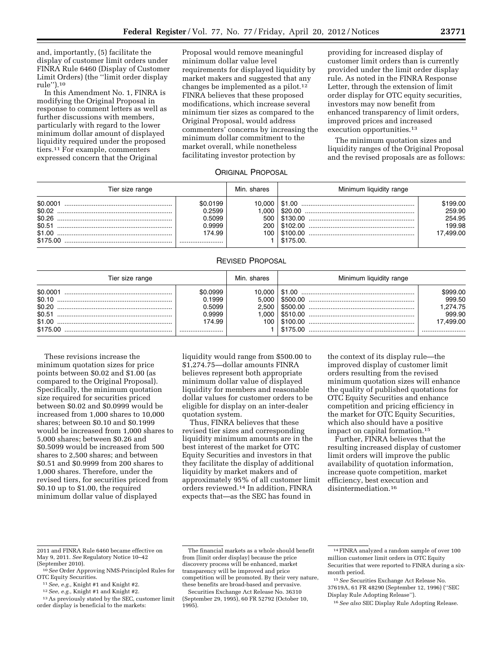and, importantly, (5) facilitate the display of customer limit orders under FINRA Rule 6460 (Display of Customer Limit Orders) (the ''limit order display rule'').10

In this Amendment No. 1, FINRA is modifying the Original Proposal in response to comment letters as well as further discussions with members, particularly with regard to the lower minimum dollar amount of displayed liquidity required under the proposed tiers.11 For example, commenters expressed concern that the Original

Proposal would remove meaningful minimum dollar value level requirements for displayed liquidity by market makers and suggested that any changes be implemented as a pilot.<sup>12</sup> FINRA believes that these proposed modifications, which increase several minimum tier sizes as compared to the Original Proposal, would address commenters' concerns by increasing the minimum dollar commitment to the market overall, while nonetheless facilitating investor protection by

providing for increased display of customer limit orders than is currently provided under the limit order display rule. As noted in the FINRA Response Letter, through the extension of limit order display for OTC equity securities, investors may now benefit from enhanced transparency of limit orders, improved prices and increased execution opportunities.13

The minimum quotation sizes and liquidity ranges of the Original Proposal and the revised proposals are as follows:

## ORIGINAL PROPOSAL

| Tier size range |                                                  | Min. shares | Minimum liquidity range                                                   |                                                     |
|-----------------|--------------------------------------------------|-------------|---------------------------------------------------------------------------|-----------------------------------------------------|
| \$0,0001        | \$0.0199<br>0.2599<br>0.5099<br>0.9999<br>174.99 |             | $200 \mid $102.00 \dots 000$<br>$100 \mid $100.00 \dots 000$<br>\$175.00. | \$199.00<br>259.90<br>254.95<br>199.98<br>17.499.00 |

### REVISED PROPOSAL

| Tier size range |                                                  | Min. shares | Minimum liquidity range |                                                       |
|-----------------|--------------------------------------------------|-------------|-------------------------|-------------------------------------------------------|
| \$0.0001        | \$0.0999<br>0.1999<br>0.5099<br>0.9999<br>174.99 | 10.000      |                         | \$999.00<br>999.50<br>1.274.75<br>999.90<br>17.499.00 |

These revisions increase the minimum quotation sizes for price points between \$0.02 and \$1.00 (as compared to the Original Proposal). Specifically, the minimum quotation size required for securities priced between \$0.02 and \$0.0999 would be increased from 1,000 shares to 10,000 shares; between \$0.10 and \$0.1999 would be increased from 1,000 shares to 5,000 shares; between \$0.26 and \$0.5099 would be increased from 500 shares to 2,500 shares; and between \$0.51 and \$0.9999 from 200 shares to 1,000 shares. Therefore, under the revised tiers, for securities priced from \$0.10 up to \$1.00, the required minimum dollar value of displayed

liquidity would range from \$500.00 to \$1,274.75—dollar amounts FINRA believes represent both appropriate minimum dollar value of displayed liquidity for members and reasonable dollar values for customer orders to be eligible for display on an inter-dealer quotation system.

Thus, FINRA believes that these revised tier sizes and corresponding liquidity minimum amounts are in the best interest of the market for OTC Equity Securities and investors in that they facilitate the display of additional liquidity by market makers and of approximately 95% of all customer limit orders reviewed.14 In addition, FINRA expects that—as the SEC has found in

the context of its display rule—the improved display of customer limit orders resulting from the revised minimum quotation sizes will enhance the quality of published quotations for OTC Equity Securities and enhance competition and pricing efficiency in the market for OTC Equity Securities, which also should have a positive impact on capital formation.15

Further, FINRA believes that the resulting increased display of customer limit orders will improve the public availability of quotation information, increase quote competition, market efficiency, best execution and disintermediation.16

<sup>2011</sup> and FINRA Rule 6460 became effective on May 9, 2011. *See* Regulatory Notice 10–42

<sup>&</sup>lt;sup>10</sup> See Order Approving NMS-Principled Rules for OTC Equity Securities.

<sup>&</sup>lt;sup>11</sup> See, e.g., Knight #1 and Knight #2.<br><sup>12</sup> See, e.g., Knight #1 and Knight #2.<br><sup>13</sup> As previously stated by the SEC, customer limit order display is beneficial to the markets:

The financial markets as a whole should benefit from [limit order display] because the price discovery process will be enhanced, market transparency will be improved and price competition will be promoted. By their very nature, these benefits are broad-based and pervasive.

Securities Exchange Act Release No. 36310 (September 29, 1995), 60 FR 52792 (October 10, 1995).

<sup>14</sup>FINRA analyzed a random sample of over 100 million customer limit orders in OTC Equity Securities that were reported to FINRA during a sixmonth period.

<sup>15</sup>*See* Securities Exchange Act Release No. 37619A, 61 FR 48290 (September 12, 1996) (''SEC Display Rule Adopting Release'').

<sup>16</sup>*See also* SEC Display Rule Adopting Release.